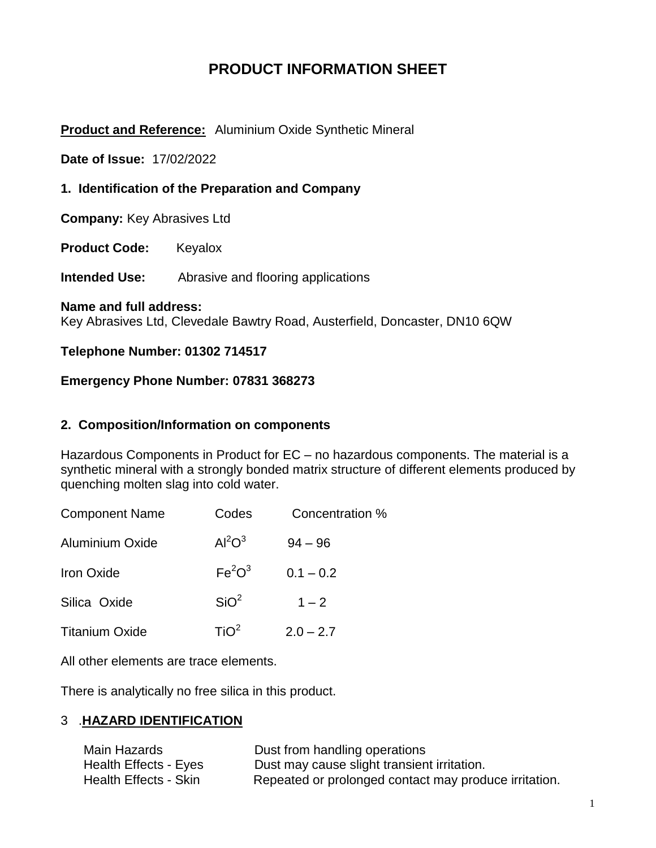# **PRODUCT INFORMATION SHEET**

## **Product and Reference:** Aluminium Oxide Synthetic Mineral

**Date of Issue:** 17/02/2022

**1. Identification of the Preparation and Company**

**Company:** Key Abrasives Ltd

**Product Code:** Keyalox

**Intended Use:** Abrasive and flooring applications

**Name and full address:** 

Key Abrasives Ltd, Clevedale Bawtry Road, Austerfield, Doncaster, DN10 6QW

### **Telephone Number: 01302 714517**

### **Emergency Phone Number: 07831 368273**

### **2. Composition/Information on components**

Hazardous Components in Product for EC – no hazardous components. The material is a synthetic mineral with a strongly bonded matrix structure of different elements produced by quenching molten slag into cold water.

| <b>Component Name</b> | Codes                          | Concentration % |
|-----------------------|--------------------------------|-----------------|
| Aluminium Oxide       | Al <sup>2</sup> O <sup>3</sup> | $94 - 96$       |
| <b>Iron Oxide</b>     | Fe <sup>2</sup> O <sup>3</sup> | $0.1 - 0.2$     |
| Silica Oxide          | SiO <sup>2</sup>               | $1 - 2$         |
| <b>Titanium Oxide</b> | TiO <sup>2</sup>               | $2.0 - 2.7$     |

All other elements are trace elements.

There is analytically no free silica in this product.

## 3 .**HAZARD IDENTIFICATION**

| Main Hazards          | Dust from handling operations                         |
|-----------------------|-------------------------------------------------------|
| Health Effects - Eyes | Dust may cause slight transient irritation.           |
| Health Effects - Skin | Repeated or prolonged contact may produce irritation. |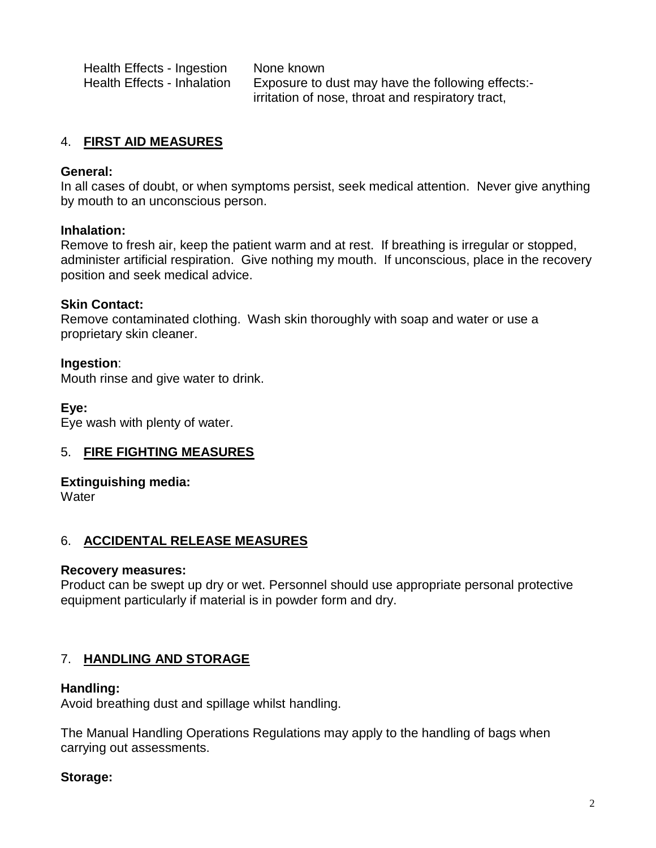| Health Effects - Ingestion  | None known                                        |
|-----------------------------|---------------------------------------------------|
| Health Effects - Inhalation | Exposure to dust may have the following effects:- |
|                             | irritation of nose, throat and respiratory tract, |

## 4. **FIRST AID MEASURES**

### **General:**

In all cases of doubt, or when symptoms persist, seek medical attention. Never give anything by mouth to an unconscious person.

### **Inhalation:**

Remove to fresh air, keep the patient warm and at rest. If breathing is irregular or stopped, administer artificial respiration. Give nothing my mouth. If unconscious, place in the recovery position and seek medical advice.

### **Skin Contact:**

Remove contaminated clothing. Wash skin thoroughly with soap and water or use a proprietary skin cleaner.

### **Ingestion**:

Mouth rinse and give water to drink.

### **Eye:**

Eye wash with plenty of water.

### 5. **FIRE FIGHTING MEASURES**

### **Extinguishing media:**

**Water** 

### 6. **ACCIDENTAL RELEASE MEASURES**

### **Recovery measures:**

Product can be swept up dry or wet. Personnel should use appropriate personal protective equipment particularly if material is in powder form and dry.

### 7. **HANDLING AND STORAGE**

### **Handling:**

Avoid breathing dust and spillage whilst handling.

The Manual Handling Operations Regulations may apply to the handling of bags when carrying out assessments.

### **Storage:**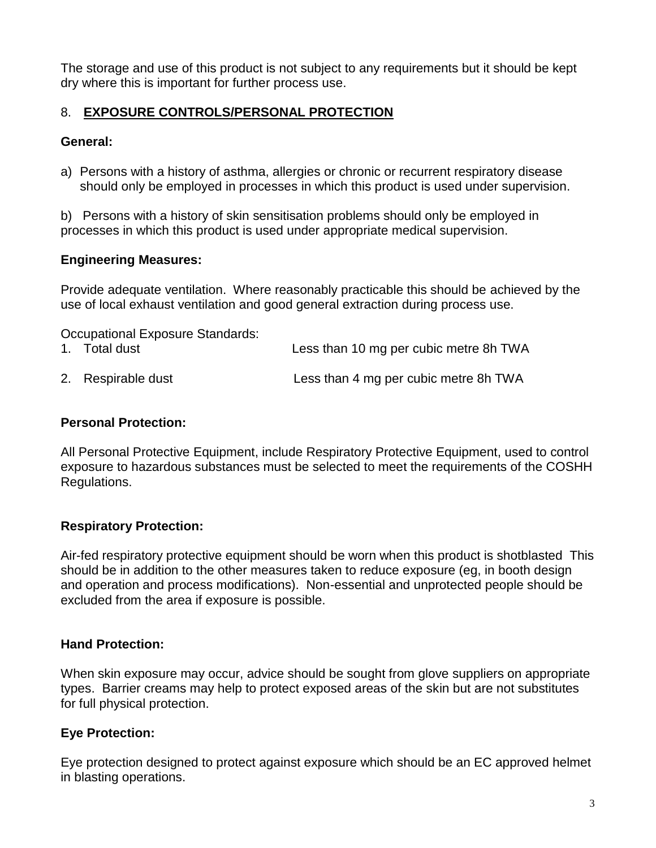The storage and use of this product is not subject to any requirements but it should be kept dry where this is important for further process use.

# 8. **EXPOSURE CONTROLS/PERSONAL PROTECTION**

## **General:**

a) Persons with a history of asthma, allergies or chronic or recurrent respiratory disease should only be employed in processes in which this product is used under supervision.

b) Persons with a history of skin sensitisation problems should only be employed in processes in which this product is used under appropriate medical supervision.

# **Engineering Measures:**

Provide adequate ventilation. Where reasonably practicable this should be achieved by the use of local exhaust ventilation and good general extraction during process use.

| Occupational Exposure Standards: |                                        |
|----------------------------------|----------------------------------------|
| 1. Total dust                    | Less than 10 mg per cubic metre 8h TWA |
| 2. Respirable dust               | Less than 4 mg per cubic metre 8h TWA  |

## **Personal Protection:**

All Personal Protective Equipment, include Respiratory Protective Equipment, used to control exposure to hazardous substances must be selected to meet the requirements of the COSHH Regulations.

# **Respiratory Protection:**

Air-fed respiratory protective equipment should be worn when this product is shotblasted This should be in addition to the other measures taken to reduce exposure (eg, in booth design and operation and process modifications). Non-essential and unprotected people should be excluded from the area if exposure is possible.

# **Hand Protection:**

When skin exposure may occur, advice should be sought from glove suppliers on appropriate types. Barrier creams may help to protect exposed areas of the skin but are not substitutes for full physical protection.

# **Eye Protection:**

Eye protection designed to protect against exposure which should be an EC approved helmet in blasting operations.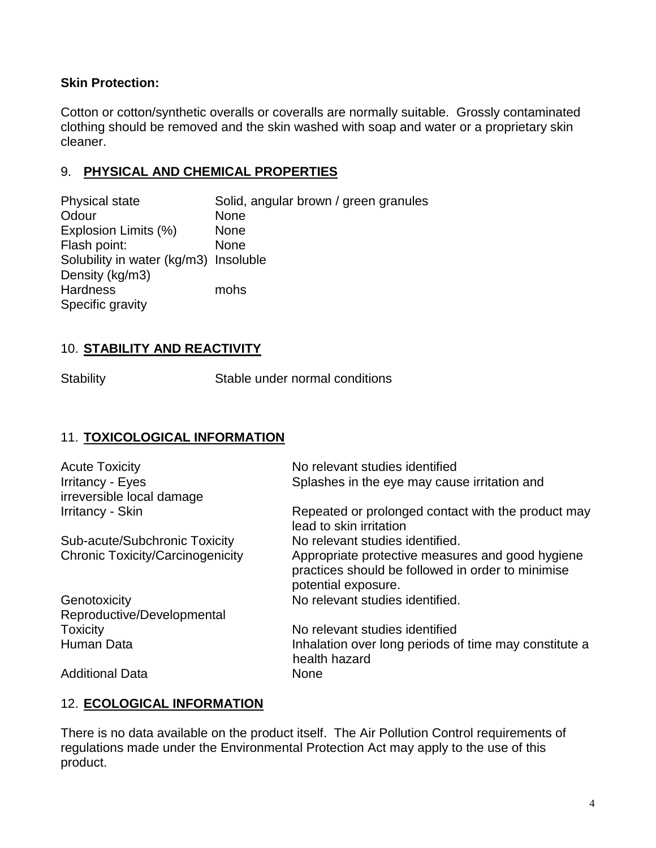## **Skin Protection:**

Cotton or cotton/synthetic overalls or coveralls are normally suitable. Grossly contaminated clothing should be removed and the skin washed with soap and water or a proprietary skin cleaner.

## 9. **PHYSICAL AND CHEMICAL PROPERTIES**

Physical state Solid, angular brown / green granules Odour None Explosion Limits (%) None Flash point: None Solubility in water (kg/m3) Insoluble Density (kg/m3) Hardness mohs Specific gravity

# 10. **STABILITY AND REACTIVITY**

Stability Stable under normal conditions

## 11. **TOXICOLOGICAL INFORMATION**

| <b>Acute Toxicity</b><br><b>Irritancy - Eyes</b><br>irreversible local damage | No relevant studies identified<br>Splashes in the eye may cause irritation and                                               |
|-------------------------------------------------------------------------------|------------------------------------------------------------------------------------------------------------------------------|
| <b>Irritancy - Skin</b>                                                       | Repeated or prolonged contact with the product may<br>lead to skin irritation                                                |
| Sub-acute/Subchronic Toxicity                                                 | No relevant studies identified.                                                                                              |
| <b>Chronic Toxicity/Carcinogenicity</b>                                       | Appropriate protective measures and good hygiene<br>practices should be followed in order to minimise<br>potential exposure. |
| Genotoxicity                                                                  | No relevant studies identified.                                                                                              |
| Reproductive/Developmental                                                    |                                                                                                                              |
| <b>Toxicity</b>                                                               | No relevant studies identified                                                                                               |
| <b>Human Data</b>                                                             | Inhalation over long periods of time may constitute a<br>health hazard                                                       |
| <b>Additional Data</b>                                                        | None                                                                                                                         |

# 12. **ECOLOGICAL INFORMATION**

There is no data available on the product itself. The Air Pollution Control requirements of regulations made under the Environmental Protection Act may apply to the use of this product.